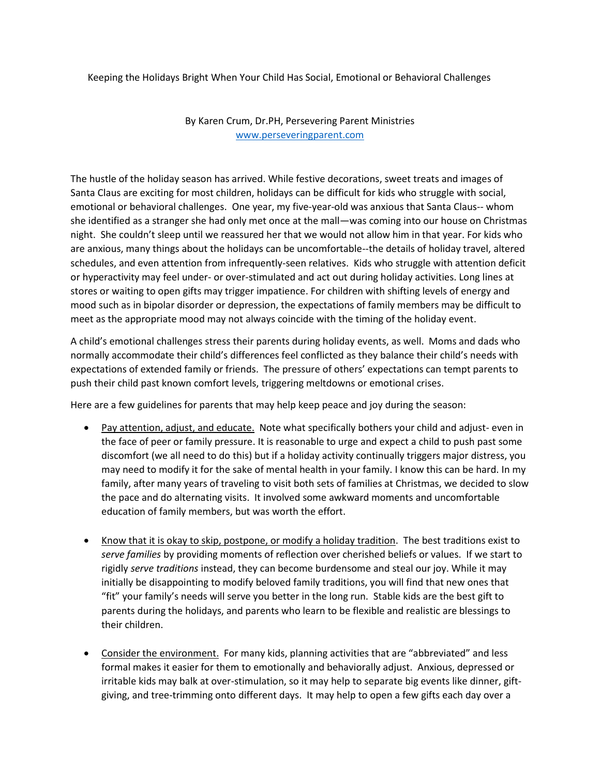Keeping the Holidays Bright When Your Child Has Social, Emotional or Behavioral Challenges

By Karen Crum, Dr.PH, Persevering Parent Ministries www.perseveringparent.com

The hustle of the holiday season has arrived. While festive decorations, sweet treats and images of Santa Claus are exciting for most children, holidays can be difficult for kids who struggle with social, emotional or behavioral challenges. One year, my five-year-old was anxious that Santa Claus-- whom she identified as a stranger she had only met once at the mall—was coming into our house on Christmas night. She couldn't sleep until we reassured her that we would not allow him in that year. For kids who are anxious, many things about the holidays can be uncomfortable--the details of holiday travel, altered schedules, and even attention from infrequently-seen relatives. Kids who struggle with attention deficit or hyperactivity may feel under- or over-stimulated and act out during holiday activities. Long lines at stores or waiting to open gifts may trigger impatience. For children with shifting levels of energy and mood such as in bipolar disorder or depression, the expectations of family members may be difficult to meet as the appropriate mood may not always coincide with the timing of the holiday event.

A child's emotional challenges stress their parents during holiday events, as well. Moms and dads who normally accommodate their child's differences feel conflicted as they balance their child's needs with expectations of extended family or friends. The pressure of others' expectations can tempt parents to push their child past known comfort levels, triggering meltdowns or emotional crises.

Here are a few guidelines for parents that may help keep peace and joy during the season:

- Pay attention, adjust, and educate. Note what specifically bothers your child and adjust- even in the face of peer or family pressure. It is reasonable to urge and expect a child to push past some discomfort (we all need to do this) but if a holiday activity continually triggers major distress, you may need to modify it for the sake of mental health in your family. I know this can be hard. In my family, after many years of traveling to visit both sets of families at Christmas, we decided to slow the pace and do alternating visits. It involved some awkward moments and uncomfortable education of family members, but was worth the effort.
- Know that it is okay to skip, postpone, or modify a holiday tradition. The best traditions exist to *serve families* by providing moments of reflection over cherished beliefs or values. If we start to rigidly *serve traditions* instead, they can become burdensome and steal our joy. While it may initially be disappointing to modify beloved family traditions, you will find that new ones that "fit" your family's needs will serve you better in the long run. Stable kids are the best gift to parents during the holidays, and parents who learn to be flexible and realistic are blessings to their children.
- Consider the environment. For many kids, planning activities that are "abbreviated" and less formal makes it easier for them to emotionally and behaviorally adjust. Anxious, depressed or irritable kids may balk at over-stimulation, so it may help to separate big events like dinner, giftgiving, and tree-trimming onto different days. It may help to open a few gifts each day over a